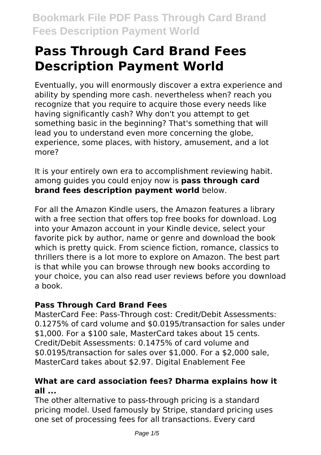# **Pass Through Card Brand Fees Description Payment World**

Eventually, you will enormously discover a extra experience and ability by spending more cash. nevertheless when? reach you recognize that you require to acquire those every needs like having significantly cash? Why don't you attempt to get something basic in the beginning? That's something that will lead you to understand even more concerning the globe, experience, some places, with history, amusement, and a lot more?

It is your entirely own era to accomplishment reviewing habit. among guides you could enjoy now is **pass through card brand fees description payment world** below.

For all the Amazon Kindle users, the Amazon features a library with a free section that offers top free books for download. Log into your Amazon account in your Kindle device, select your favorite pick by author, name or genre and download the book which is pretty quick. From science fiction, romance, classics to thrillers there is a lot more to explore on Amazon. The best part is that while you can browse through new books according to your choice, you can also read user reviews before you download a book.

# **Pass Through Card Brand Fees**

MasterCard Fee: Pass-Through cost: Credit/Debit Assessments: 0.1275% of card volume and \$0.0195/transaction for sales under \$1,000. For a \$100 sale, MasterCard takes about 15 cents. Credit/Debit Assessments: 0.1475% of card volume and \$0.0195/transaction for sales over \$1,000. For a \$2,000 sale, MasterCard takes about \$2.97. Digital Enablement Fee

# **What are card association fees? Dharma explains how it all ...**

The other alternative to pass-through pricing is a standard pricing model. Used famously by Stripe, standard pricing uses one set of processing fees for all transactions. Every card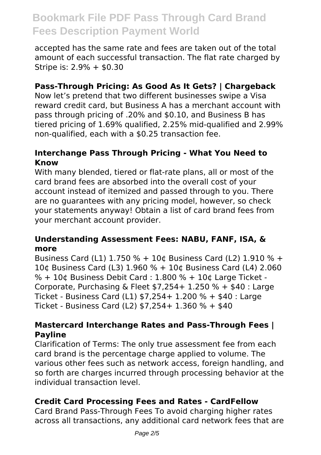accepted has the same rate and fees are taken out of the total amount of each successful transaction. The flat rate charged by Stripe is: 2.9% + \$0.30

# **Pass-Through Pricing: As Good As It Gets? | Chargeback**

Now let's pretend that two different businesses swipe a Visa reward credit card, but Business A has a merchant account with pass through pricing of .20% and \$0.10, and Business B has tiered pricing of 1.69% qualified, 2.25% mid-qualified and 2.99% non-qualified, each with a \$0.25 transaction fee.

#### **Interchange Pass Through Pricing - What You Need to Know**

With many blended, tiered or flat-rate plans, all or most of the card brand fees are absorbed into the overall cost of your account instead of itemized and passed through to you. There are no guarantees with any pricing model, however, so check your statements anyway! Obtain a list of card brand fees from your merchant account provider.

#### **Understanding Assessment Fees: NABU, FANF, ISA, & more**

Business Card (L1) 1.750 % + 10¢ Business Card (L2) 1.910 % + 10¢ Business Card (L3) 1.960 % + 10¢ Business Card (L4) 2.060  $% + 10¢$  Business Debit Card : 1.800 % + 10¢ Large Ticket -Corporate, Purchasing & Fleet  $$7,254+1.250% + $40:$  Large Ticket - Business Card (L1) \$7,254+ 1.200 % + \$40 : Large Ticket - Business Card (L2) \$7,254+ 1.360 % + \$40

#### **Mastercard Interchange Rates and Pass-Through Fees | Payline**

Clarification of Terms: The only true assessment fee from each card brand is the percentage charge applied to volume. The various other fees such as network access, foreign handling, and so forth are charges incurred through processing behavior at the individual transaction level.

# **Credit Card Processing Fees and Rates - CardFellow**

Card Brand Pass-Through Fees To avoid charging higher rates across all transactions, any additional card network fees that are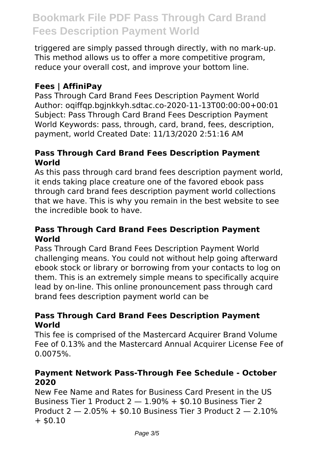triggered are simply passed through directly, with no mark-up. This method allows us to offer a more competitive program, reduce your overall cost, and improve your bottom line.

### **Fees | AffiniPay**

Pass Through Card Brand Fees Description Payment World Author: oqiffqp.bgjnkkyh.sdtac.co-2020-11-13T00:00:00+00:01 Subject: Pass Through Card Brand Fees Description Payment World Keywords: pass, through, card, brand, fees, description, payment, world Created Date: 11/13/2020 2:51:16 AM

#### **Pass Through Card Brand Fees Description Payment World**

As this pass through card brand fees description payment world, it ends taking place creature one of the favored ebook pass through card brand fees description payment world collections that we have. This is why you remain in the best website to see the incredible book to have.

#### **Pass Through Card Brand Fees Description Payment World**

Pass Through Card Brand Fees Description Payment World challenging means. You could not without help going afterward ebook stock or library or borrowing from your contacts to log on them. This is an extremely simple means to specifically acquire lead by on-line. This online pronouncement pass through card brand fees description payment world can be

#### **Pass Through Card Brand Fees Description Payment World**

This fee is comprised of the Mastercard Acquirer Brand Volume Fee of 0.13% and the Mastercard Annual Acquirer License Fee of 0.0075%.

#### **Payment Network Pass-Through Fee Schedule - October 2020**

New Fee Name and Rates for Business Card Present in the US Business Tier 1 Product  $2 - 1.90\% + $0.10$  Business Tier 2 Product 2 — 2.05% + \$0.10 Business Tier 3 Product 2 — 2.10%  $+$  \$0.10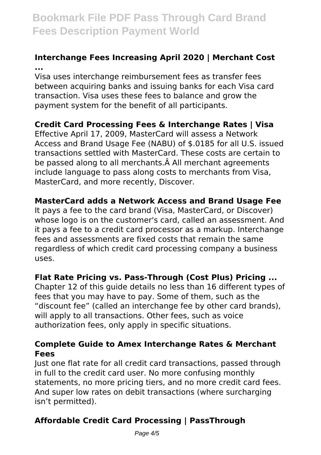# **Interchange Fees Increasing April 2020 | Merchant Cost ...**

Visa uses interchange reimbursement fees as transfer fees between acquiring banks and issuing banks for each Visa card transaction. Visa uses these fees to balance and grow the payment system for the benefit of all participants.

# **Credit Card Processing Fees & Interchange Rates | Visa**

Effective April 17, 2009, MasterCard will assess a Network Access and Brand Usage Fee (NABU) of \$.0185 for all U.S. issued transactions settled with MasterCard. These costs are certain to be passed along to all merchants. A All merchant agreements include language to pass along costs to merchants from Visa, MasterCard, and more recently, Discover.

#### **MasterCard adds a Network Access and Brand Usage Fee**

It pays a fee to the card brand (Visa, MasterCard, or Discover) whose logo is on the customer's card, called an assessment. And it pays a fee to a credit card processor as a markup. Interchange fees and assessments are fixed costs that remain the same regardless of which credit card processing company a business uses.

#### **Flat Rate Pricing vs. Pass-Through (Cost Plus) Pricing ...**

Chapter 12 of this guide details no less than 16 different types of fees that you may have to pay. Some of them, such as the "discount fee" (called an interchange fee by other card brands), will apply to all transactions. Other fees, such as voice authorization fees, only apply in specific situations.

#### **Complete Guide to Amex Interchange Rates & Merchant Fees**

Just one flat rate for all credit card transactions, passed through in full to the credit card user. No more confusing monthly statements, no more pricing tiers, and no more credit card fees. And super low rates on debit transactions (where surcharging isn't permitted).

# **Affordable Credit Card Processing | PassThrough**